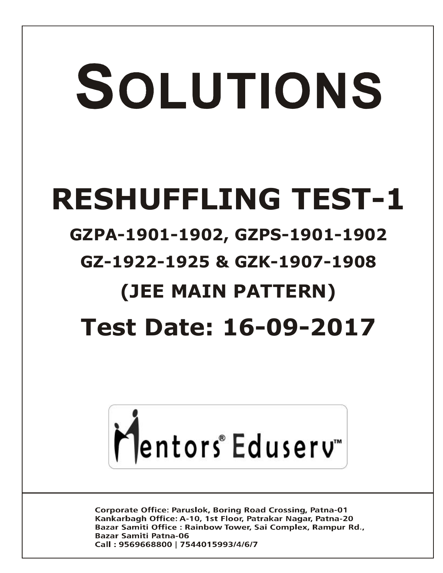# SOLUTIONS **RESHUFFLING TEST-1**

## **GZPA-1901-1902, GZPS-1901-1902**

### **GZ-1922-1925 & GZK-1907-1908**

# **(JEE MAIN PATTERN)**

## **Test Date: 16-09-2017**



Corporate Office: Paruslok, Boring Road Crossing, Patna-01 Kankarbagh Office: A-10, 1st Floor, Patrakar Nagar, Patna-20 Bazar Samiti Office: Rainbow Tower, Sai Complex, Rampur Rd., **Bazar Samiti Patna-06** Call: 9569668800 | 7544015993/4/6/7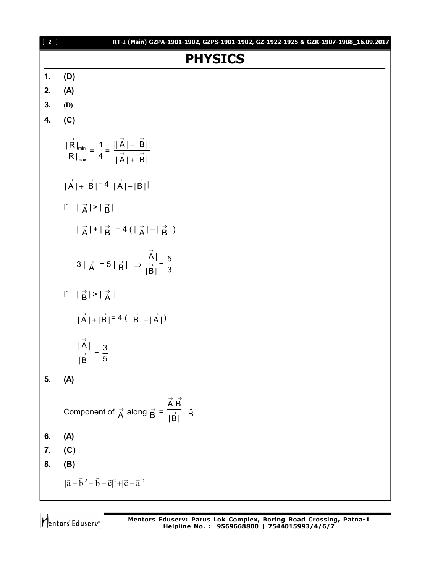| $[2]$         | RT-I (Main) GZPA-1901-1902, GZPS-1901-1902, GZ-1922-1925 & GZK-1907-1908_16.09.2017                         |
|---------------|-------------------------------------------------------------------------------------------------------------|
|               | <b>PHYSICS</b>                                                                                              |
| $\mathbf 1$ . | (D)                                                                                                         |
| 2.            | (A)                                                                                                         |
| 3.            | (D)                                                                                                         |
| 4.            | (C)                                                                                                         |
|               | $\frac{ \vec{R} _{\min}}{ R _{\max}} = \frac{1}{4} = \frac{  \vec{A}  -  \vec{B}  }{ \vec{A}  +  \vec{B} }$ |
|               | $ \vec{A}  +  \vec{B}  = 4  \vec{A}  -  \vec{B} $                                                           |
|               | If $ \vec{A}  >  \vec{B} $                                                                                  |
|               | $ \vec{A}  +  \vec{B}  = 4( \vec{A}  -  \vec{B} )$                                                          |
|               | $3 \vec{A}  = 5 \vec{B}  \Rightarrow \frac{ \vec{A} }{ \vec{B} } = \frac{5}{3}$                             |
|               | If $ \vec{B}  >  \vec{A} $                                                                                  |
|               | $ \vec{A}  +  \vec{B}  = 4( \vec{B}  -  \vec{A} )$                                                          |
|               | $\frac{ A }{ \stackrel{\rightarrow}{B} }$<br>$=\frac{3}{5}$                                                 |
| 5.            | (A)                                                                                                         |
|               | Component of $\vec{A}$ along $\vec{B} = \frac{\vec{A} \cdot \vec{B}}{ \vec{B} } \cdot \hat{B}$              |
| 6.            | (A)                                                                                                         |
| 7.            | (C)                                                                                                         |
| 8.            | (B)                                                                                                         |
|               | $ \vec{a}-\vec{b} ^2+ \vec{b}-\vec{c} ^2+ \vec{c}-\vec{a} ^2$                                               |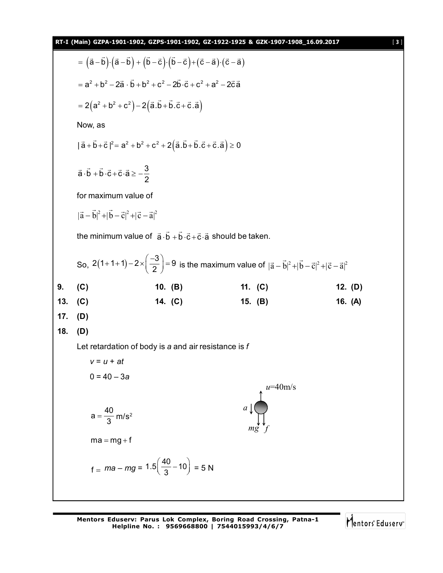|     | RT-I (Main) GZPA-1901-1902, GZPS-1901-1902, GZ-1922-1925 & GZK-1907-1908_16.09.2017      |                                                                                                                                      |                                                                                                                                         |           | $[3]$ |
|-----|------------------------------------------------------------------------------------------|--------------------------------------------------------------------------------------------------------------------------------------|-----------------------------------------------------------------------------------------------------------------------------------------|-----------|-------|
|     |                                                                                          | $= (\vec{a}-\vec{b})\cdot(\vec{a}-\vec{b}) + (\vec{b}-\vec{c})\cdot(\vec{b}-\vec{c}) + (\vec{c}-\vec{a})\cdot(\vec{c}-\vec{a})$      |                                                                                                                                         |           |       |
|     |                                                                                          | $= a^{2} + b^{2} - 2\vec{a} \cdot \vec{b} + b^{2} + c^{2} - 2\vec{b} \cdot \vec{c} + c^{2} + a^{2} - 2\vec{c} \vec{a}$               |                                                                                                                                         |           |       |
|     |                                                                                          | $= 2(a^2 + b^2 + c^2) - 2(\vec{a}.\vec{b} + \vec{b}.\vec{c} + \vec{c}.\vec{a})$                                                      |                                                                                                                                         |           |       |
|     | Now, as                                                                                  |                                                                                                                                      |                                                                                                                                         |           |       |
|     |                                                                                          | $ \vec{a} + \vec{b} + \vec{c} ^2 = a^2 + b^2 + c^2 + 2(\vec{a} \cdot \vec{b} + \vec{b} \cdot \vec{c} + \vec{c} \cdot \vec{a}) \ge 0$ |                                                                                                                                         |           |       |
|     | $\vec{a} \cdot \vec{b} + \vec{b} \cdot \vec{c} + \vec{c} \cdot \vec{a} \ge -\frac{3}{2}$ |                                                                                                                                      |                                                                                                                                         |           |       |
|     | for maximum value of                                                                     |                                                                                                                                      |                                                                                                                                         |           |       |
|     | $ \vec{a}-\vec{b} ^2+ \vec{b}-\vec{c} ^2+ \vec{c}-\vec{a} ^2$                            |                                                                                                                                      |                                                                                                                                         |           |       |
|     |                                                                                          | the minimum value of $\vec{a} \cdot \vec{b} + \vec{b} \cdot \vec{c} + \vec{c} \cdot \vec{a}$ should be taken.                        |                                                                                                                                         |           |       |
|     |                                                                                          |                                                                                                                                      | So, $2(1+1+1)-2\times\left(\frac{-3}{2}\right)=9$ is the maximum value of $ \vec{a}-\vec{b} ^2+ \vec{b}-\vec{c} ^2+ \vec{c}-\vec{a} ^2$ |           |       |
| 9.  | (C)                                                                                      | 10. $(B)$                                                                                                                            | 11. $(C)$                                                                                                                               | 12. $(D)$ |       |
| 13. | (C)                                                                                      | 14. (C)                                                                                                                              | 15. (B)                                                                                                                                 | 16. (A)   |       |
| 17. | (D)                                                                                      |                                                                                                                                      |                                                                                                                                         |           |       |
| 18. | (D)                                                                                      |                                                                                                                                      |                                                                                                                                         |           |       |
|     |                                                                                          | Let retardation of body is a and air resistance is $f$                                                                               |                                                                                                                                         |           |       |
|     | $v = u + at$                                                                             |                                                                                                                                      |                                                                                                                                         |           |       |
|     |                                                                                          |                                                                                                                                      |                                                                                                                                         |           |       |
|     | $0 = 40 - 3a$                                                                            |                                                                                                                                      |                                                                                                                                         |           |       |
|     |                                                                                          |                                                                                                                                      | $u=40$ m/s                                                                                                                              |           |       |
|     |                                                                                          |                                                                                                                                      | $a \downarrow$                                                                                                                          |           |       |
|     | $a = \frac{40}{3}$ m/s <sup>2</sup>                                                      |                                                                                                                                      |                                                                                                                                         |           |       |
|     | $ma = mg + f$                                                                            |                                                                                                                                      |                                                                                                                                         |           |       |
|     |                                                                                          | $f = ma - mg = 1.5 \left(\frac{40}{3} - 10\right) = 5 N$                                                                             |                                                                                                                                         |           |       |

**Mentors Eduserv: Parus Lok Complex, Boring Road Crossing, Patna-1 Helpline No. : 9569668800 | 7544015993/4/6/7**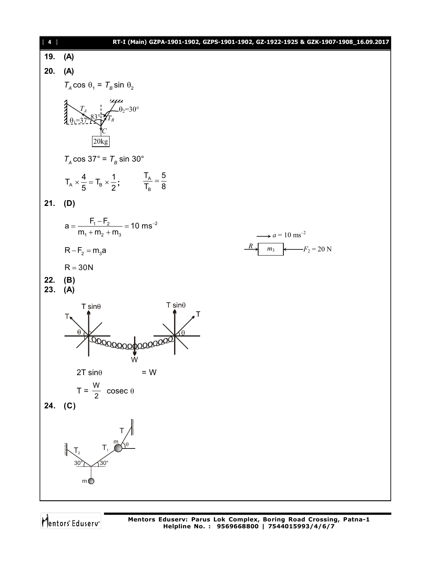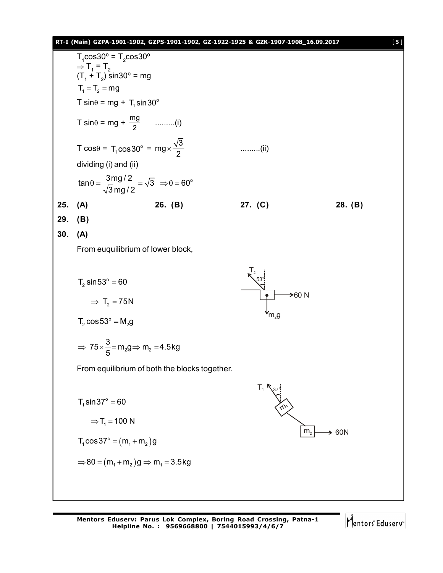#### **RT-I (Main) GZPA-1901-1902, GZPS-1901-1902, GZ-1922-1925 & GZK-1907-1908\_16.09.2017** [ **5** ]

|     | $T_1 \cos 30^\circ = T_2 \cos 30^\circ$                                                                                                                                                         |                                               |                           |            |
|-----|-------------------------------------------------------------------------------------------------------------------------------------------------------------------------------------------------|-----------------------------------------------|---------------------------|------------|
|     | $\Rightarrow$ T <sub>1</sub> = T <sub>2</sub><br>$(T_1 + T_2)$ sin30° = mg                                                                                                                      |                                               |                           |            |
|     | $T_1 = T_2 = mg$                                                                                                                                                                                |                                               |                           |            |
|     | T sin $\theta$ = mg + T <sub>1</sub> sin 30°                                                                                                                                                    |                                               |                           |            |
|     | T sin $\theta$ = mg + $\frac{mg}{2}$ (i)                                                                                                                                                        |                                               |                           |            |
|     | T cos $\theta$ = T <sub>1</sub> cos 30° = mg $\times \frac{\sqrt{3}}{2}$                                                                                                                        |                                               | $\ldots$ (ii)             |            |
|     | dividing (i) and (ii)                                                                                                                                                                           |                                               |                           |            |
|     | $\tan\theta = \frac{3mg/2}{\sqrt{3}mg/2} = \sqrt{3} \Rightarrow \theta = 60^{\circ}$                                                                                                            |                                               |                           |            |
| 25. | (A)                                                                                                                                                                                             | 26. (B)                                       | 27. $(C)$                 | 28. (B)    |
| 29. | (B)                                                                                                                                                                                             |                                               |                           |            |
| 30. | (A)                                                                                                                                                                                             |                                               |                           |            |
|     | From euquilibrium of lower block,                                                                                                                                                               |                                               |                           |            |
|     | $T_2 \sin 53^\circ = 60$<br>$\Rightarrow$ T <sub>2</sub> = 75N<br>$T_2 \cos 53^\circ = M_2 g$<br>$\Rightarrow$ 75 $\times \frac{3}{5}$ = m <sub>2</sub> g $\Rightarrow$ m <sub>2</sub> = 4.5 kg |                                               | $\rightarrow$ 60 N<br>m,g |            |
|     |                                                                                                                                                                                                 |                                               |                           |            |
|     |                                                                                                                                                                                                 | From equilibrium of both the blocks together. |                           |            |
|     | $T_1 \sin 37^\circ = 60$<br>$\Rightarrow$ T <sub>1</sub> = 100 N<br>$T_1 \cos 37^\circ = (m_1 + m_2)g$<br>$\Rightarrow$ 80 = $(m_1 + m_2)g \Rightarrow m_1 = 3.5kg$                             |                                               | m <sub>2</sub>            | $\geq 60N$ |
|     |                                                                                                                                                                                                 |                                               |                           |            |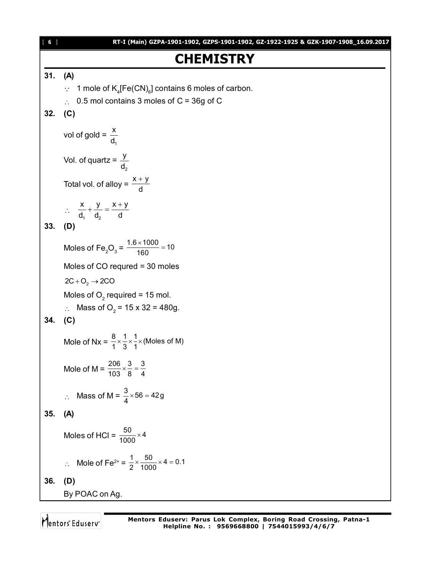#### **CHEMISTRY**

#### **31. (A)**

- $\therefore$  1 mole of K<sub>4</sub>[Fe(CN)<sub>6</sub>] contains 6 moles of carbon.
- $\therefore$  0.5 mol contains 3 moles of C = 36g of C

#### **32. (C)**

vol of gold = 1 x d Vol. of quartz = 2 y d Total vol. of alloy =  $\frac{x + y}{d}$ d  $\ddot{}$  $\ddot{\cdot}$ 1  $\mathbf{u}_2$  $x \quad y \quad x+y$  $d_1$  d<sub>2</sub> d  $+\frac{y}{1}=\frac{x+}{y}$ **33. (D)** Moles of Fe<sub>2</sub>O<sub>3</sub> =  $\frac{1.6 \times 1000}{160}$  = 10  $\frac{\times 1000}{122}$  = Moles of CO requred = 30 moles  $2C + O<sub>2</sub> \rightarrow 2CO$ Moles of  $O_2$  required = 15 mol. ∴ Mass of O<sub>2</sub> = 15 x 32 = 480g. **34. (C)** Mole of Nx =  $\frac{8}{1} \times \frac{1}{3} \times \frac{1}{1} \times$  (Moles of M) Mole of M =  $\frac{206}{103} \times \frac{3}{8} = \frac{3}{4}$  $\therefore$  Mass of M =  $\frac{3}{4} \times 56 = 42g$ **35. (A)** Moles of HCl =  $\frac{50}{1000} \times 4$ ∴ Mole of Fe<sup>2+</sup> =  $\frac{1}{2} \times \frac{50}{1000} \times 4 = 0.1$ **36. (D)** By POAC on Ag.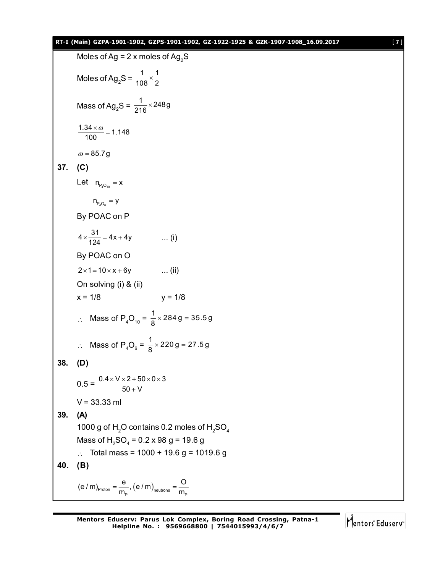#### **RT-I (Main) GZPA-1901-1902, GZPS-1901-1902, GZ-1922-1925 & GZK-1907-1908\_16.09.2017** [ **7** ]

Moles of Ag = 2 x moles of Ag<sub>2</sub>S  
\nMoles of Ag<sub>2</sub>S = 
$$
\frac{1}{108} \times \frac{1}{2}
$$
  
\nMass of Ag<sub>2</sub>S =  $\frac{1}{216} \times 2489$   
\n $\frac{1.34 \times \omega}{100} = 1.148$   
\n $\omega = 85.79$   
\n37. (C)  
\nLet  $n_{P_4O_6} = x$   
\n $n_{P_4O_6} = y$   
\nBy POAC on P  
\n $4 \times \frac{31}{124} = 4x + 4y$  ...(i)  
\nBy POAC on O  
\n $2 \times 1 = 10 \times x + 6y$  ...(ii)  
\nOn solving (i) 8 (ii)  
\n $x = 1/8$   $y = 1/8$   
\n $\therefore$  Mass of P<sub>4</sub>O<sub>10</sub> =  $\frac{1}{8} \times 2849 = 35.59$   
\n $\therefore$  Mass of P<sub>4</sub>O<sub>6</sub> =  $\frac{1}{8} \times 2209 = 27.59$   
\n38. (D)  
\n $0.5 = \frac{0.4 \times V \times 2 + 50 \times 0 \times 3}{50 + V}$   
\n $V = 33.33$  ml  
\n39. (A)  
\n1000 g of H<sub>2</sub>O contains 0.2 moles of H<sub>2</sub>SO<sub>4</sub>  
\nMass of P<sub>4</sub>O<sub>6</sub> = 0.2 x 98 g = 19.6 g  
\n $\therefore$  Total mass = 1000 + 19.6 g = 1019.6 g  
\n40. (B)  
\n(e/m)<sub>Proton</sub> =  $\frac{e}{m_P}$ , (e/m)<sub>neutrons</sub> =  $\frac{O}{m_P}$ 

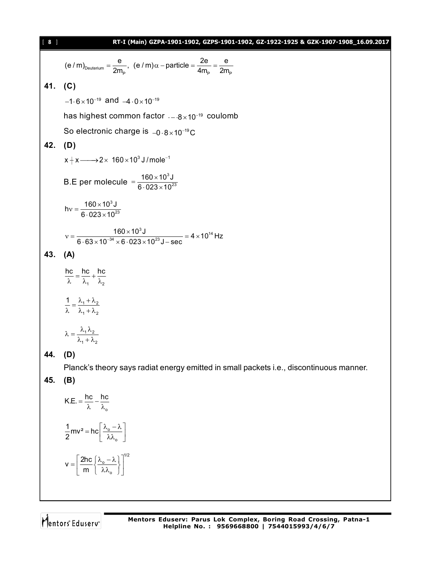| [ 8 ]   | RT-I (Main) GZPA-1901-1902, GZPS-1901-1902, GZ-1922-1925 & GZK-1907-1908_16.09.2017                                                           |
|---------|-----------------------------------------------------------------------------------------------------------------------------------------------|
|         | $(e/m)_{\text{Deuterium}} = \frac{e}{2m_{\text{p}}}, (e/m)\alpha - \text{particle} = \frac{2e}{4m_{\text{p}}} = \frac{e}{2m_{\text{p}}}$      |
| 41. (C) |                                                                                                                                               |
|         | $-1.6 \times 10^{-19}$ and $-4.0 \times 10^{-19}$                                                                                             |
|         | has highest common factor $. -.8 \times 10^{-19}$ coulomb                                                                                     |
|         | So electronic charge is $-0.8 \times 10^{-19}$ C                                                                                              |
| 42.     | (D)                                                                                                                                           |
|         | $x + x \longrightarrow 2 \times 160 \times 10^3$ J/mole <sup>-1</sup>                                                                         |
|         | B.E per molecule = $\frac{160 \times 10^3 \text{ J}}{6.023 \times 10^{23}}$                                                                   |
|         | hv = $\frac{160 \times 10^3 \text{ J}}{6.023 \times 10^{23}}$                                                                                 |
|         | $v = \frac{160 \times 10^{3} \text{ J}}{6.63 \times 10^{-34} \times 6.023 \times 10^{23} \text{ J}-\text{sec}} = 4 \times 10^{14} \text{ Hz}$ |
| 43.     | (A)                                                                                                                                           |
|         | $\frac{hc}{\lambda} = \frac{hc}{\lambda_1} + \frac{hc}{\lambda_2}$                                                                            |
|         | $\frac{1}{\lambda} = \frac{\lambda_1 + \lambda_2}{\lambda_1 + \lambda_2}$                                                                     |
|         | $\lambda = \frac{\lambda_1 \lambda_2}{\lambda_1 + \lambda_2}$                                                                                 |
| 44.     | (D)                                                                                                                                           |
|         | Planck's theory says radiat energy emitted in small packets i.e., discontinuous manner.                                                       |
| 45.     | (B)                                                                                                                                           |
|         | K.E. = $\frac{hc}{\lambda} - \frac{hc}{\lambda_o}$                                                                                            |
|         | $\frac{1}{2}mv^2 = hc\left[\frac{\lambda_o - \lambda}{\lambda \lambda_o}\right]$                                                              |
|         | $V = \left[\frac{2hc}{m} \left\{\frac{\lambda_o - \lambda}{\lambda \lambda_o}\right\} \right]^{1/2}$                                          |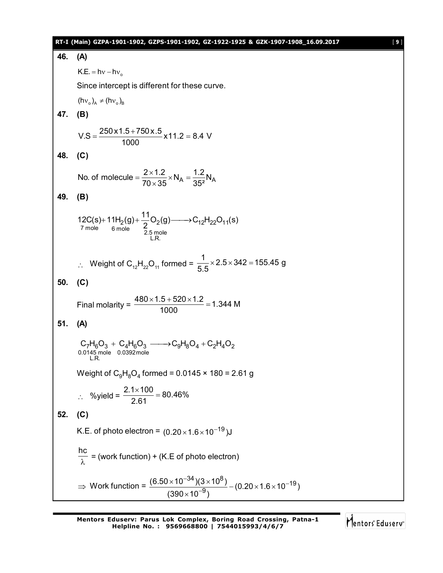|     | RT-I (Main) GZPA-1901-1902, GZPS-1901-1902, GZ-1922-1925 & GZK-1907-1908_16.09.2017                                                                                        | [9] |
|-----|----------------------------------------------------------------------------------------------------------------------------------------------------------------------------|-----|
| 46. | (A)                                                                                                                                                                        |     |
|     | $K.E. = hv - hv_0$                                                                                                                                                         |     |
|     | Since intercept is different for these curve.                                                                                                                              |     |
|     | $(hv_{0})_{A} \neq (hv_{0})_{B}$                                                                                                                                           |     |
| 47. | (B)                                                                                                                                                                        |     |
|     | $V.S = \frac{250 \times 1.5 + 750 \times .5}{1000} \times 11.2 = 8.4$ V                                                                                                    |     |
| 48. | (C)                                                                                                                                                                        |     |
|     | No. of molecule = $\frac{2 \times 1.2}{70 \times 35} \times N_A = \frac{1.2}{35^2} N_A$                                                                                    |     |
| 49. | (B)                                                                                                                                                                        |     |
|     | 12C(s)+11H <sub>2</sub> (g)+ $\frac{11}{2}O_2$ (g) $\longrightarrow$ C <sub>12</sub> H <sub>22</sub> O <sub>11</sub> (s)<br><sup>7</sup> mole 6 mole $\frac{25}{2.5}$ mole |     |
|     | ∴ Weight of C <sub>12</sub> H <sub>22</sub> O <sub>11</sub> formed = $\frac{1}{5.5}$ × 2.5 × 342 = 155.45 g                                                                |     |
| 50. | (C)                                                                                                                                                                        |     |
|     | Final molarity = $\frac{480 \times 1.5 + 520 \times 1.2}{1000}$ = 1.344 M                                                                                                  |     |
| 51. | (A)                                                                                                                                                                        |     |
|     | $C_7H_6O_3 + C_4H_6O_3 \longrightarrow C_9H_8O_4 + C_2H_4O_2$<br>0.0145 mole 0.0392 mole<br>L.R.                                                                           |     |
|     | Weight of $C_9H_8O_4$ formed = 0.0145 × 180 = 2.61 g                                                                                                                       |     |
|     | ∴ %yield = $\frac{2.1 \times 100}{2.61}$ = 80.46%                                                                                                                          |     |
| 52. | (C)                                                                                                                                                                        |     |
|     | K.E. of photo electron = $(0.20 \times 1.6 \times 10^{-19})$ J                                                                                                             |     |
|     | $\frac{hc}{\lambda}$ = (work function) + (K.E of photo electron)                                                                                                           |     |
|     | ⇒ Work function = $\frac{(6.50 \times 10^{-34})(3 \times 10^{8})}{(390 \times 10^{-9})} - (0.20 \times 1.6 \times 10^{-19})$                                               |     |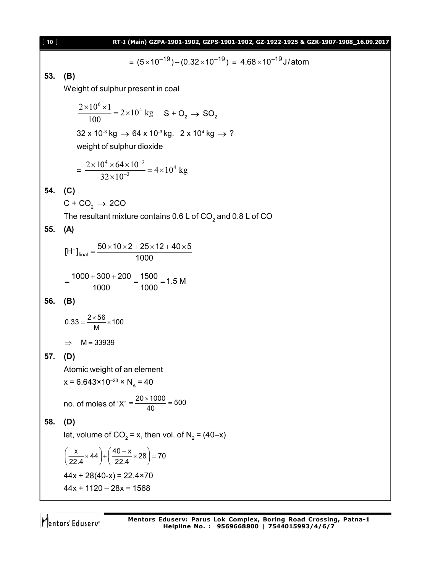| $[10]$ | RT-I (Main) GZPA-1901-1902, GZPS-1901-1902, GZ-1922-1925 & GZK-1907-1908_16.09.2017                                        |
|--------|----------------------------------------------------------------------------------------------------------------------------|
|        | = $(5 \times 10^{-19}) - (0.32 \times 10^{-19}) = 4.68 \times 10^{-19}$ J/atom                                             |
| 53.    | (B)                                                                                                                        |
|        | Weight of sulphur present in coal                                                                                          |
|        | $\frac{2\times10^{6} \times 1}{100}$ = 2×10 <sup>4</sup> kg S + O <sub>2</sub> → SO <sub>2</sub>                           |
|        | $32 \times 10^{3}$ kg $\rightarrow 64 \times 10^{3}$ kg. $2 \times 10^{4}$ kg $\rightarrow ?$<br>weight of sulphur dioxide |
|        | $=\frac{2\times10^4\times64\times10^{-3}}{32\times10^{-3}}=4\times10^4 \text{ kg}$                                         |
| 54.    | (C)                                                                                                                        |
|        | $C + CO2 \rightarrow 2CO$                                                                                                  |
|        | The resultant mixture contains 0.6 L of $CO2$ and 0.8 L of CO                                                              |
| 55.    | (A)                                                                                                                        |
|        | $[H^+]_{\text{final}} = \frac{50 \times 10 \times 2 + 25 \times 12 + 40 \times 5}{1000}$                                   |
|        | $=\frac{1000+300+200}{1000}=\frac{1500}{1000}=1.5 M$                                                                       |
| 56.    | (B)                                                                                                                        |
|        | $0.33 = \frac{2 \times 56}{M} \times 100$                                                                                  |
|        | $\Rightarrow$ M = 33939                                                                                                    |
| 57.    | (D)                                                                                                                        |
|        | Atomic weight of an element                                                                                                |
|        | $x = 6.643 \times 10^{-23} \times N_A = 40$                                                                                |
|        | no. of moles of 'X' = $\frac{20 \times 1000}{40}$ = 500                                                                    |
| 58.    | (D)                                                                                                                        |
|        | let, volume of $CO_2 = x$ , then vol. of $N_2 = (40-x)$                                                                    |
|        | $\left(\frac{x}{22.4} \times 44\right) + \left(\frac{40-x}{22.4} \times 28\right) = 70$                                    |
|        | $44x + 28(40-x) = 22.4 \times 70$                                                                                          |
|        | $44x + 1120 - 28x = 1568$                                                                                                  |
|        |                                                                                                                            |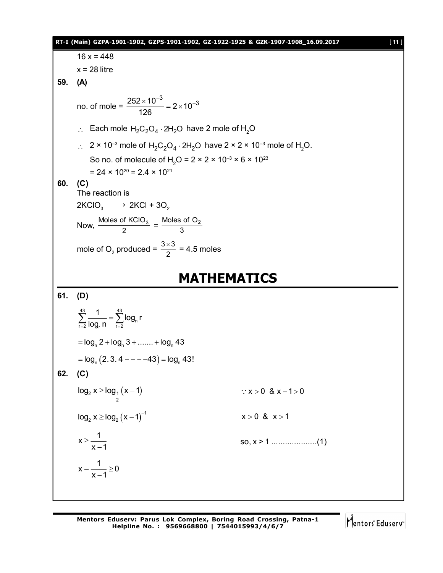**RT-I (Main) GZPA-1901-1902, GZPS-1901-1902, GZ-1922-1925 & GZK-1907-1908\_16.09.2017** [ **11** ]  $16 x = 448$  $x = 28$  litre **59. (A)** no. of mole =  $\frac{252 \times 10^{-3}}{100} = 2 \times 10^{-3}$ 126  $\frac{\times 10^{-3}}{22}$  = 2  $\times 10^{-7}$  $\therefore$  Each mole H<sub>2</sub>C<sub>2</sub>O<sub>4</sub> · 2H<sub>2</sub>O have 2 mole of H<sub>2</sub>O  $\therefore$  2 × 10<sup>-3</sup> mole of H<sub>2</sub>C<sub>2</sub>O<sub>4</sub> · 2H<sub>2</sub>O have 2 × 2 × 10<sup>-3</sup> mole of H<sub>2</sub>O. So no. of molecule of H<sub>2</sub>O =  $2 \times 2 \times 10^{-3} \times 6 \times 10^{23}$  $= 24 \times 10^{20} = 2.4 \times 10^{21}$ **60. (C)** The reaction is  $2KClO<sub>3</sub> \longrightarrow 2KCl + 3O<sub>2</sub>$ Now,  $\frac{\text{Moles of KClO}_3}{2} = \frac{\text{Moles of O}_2}{3}$ mole of O<sub>2</sub> produced =  $\frac{3\times3}{2}$  = 4.5 moles **MATHEMATICS 61. (D)** 43 43  $\sum_{r=2}$  log<sub>r</sub> n  $\sum_{r=2}$   $\log_n$  $\sum_{r=2}^{43} \frac{1}{\log_r n} = \sum_{r=2}^{43} \log_n r$  $n = log_n 2 + log_n 3 + \dots + log_n 43$  $l = \log_{\mathsf{n}} (2.3.4 - - -43) = \log_{\mathsf{n}} 43!$ **62. (C)**  $2 x \ge log_1 (x - 1)$ 2 log x log x 1 x 0 & x 1 0  $\log_2 x \ge \log_2 (x-1)^{-1}$   $x > 0$  &  $x > 1$  $x \geq \frac{1}{1}$  $x - 1$  $\geq$  $\overline{a}$ so, x > 1 ....................(1)  $x - \frac{1}{2} \ge 0$  $x - 1$  $\geq$ -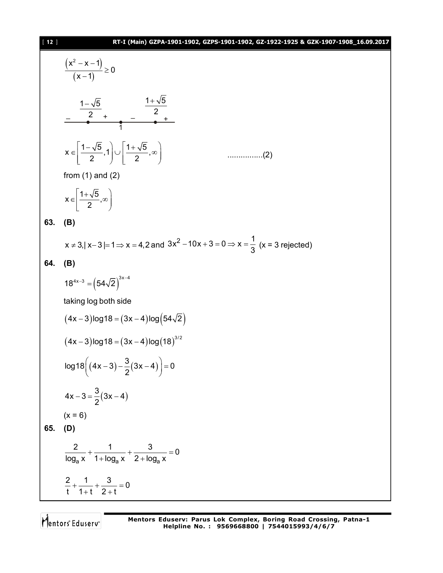

$$
65. ( D
$$

$$
\frac{2}{\log_a x} + \frac{1}{1 + \log_a x} + \frac{3}{2 + \log_a x} = 0
$$
  

$$
\frac{2}{t} + \frac{1}{1 + t} + \frac{3}{2 + t} = 0
$$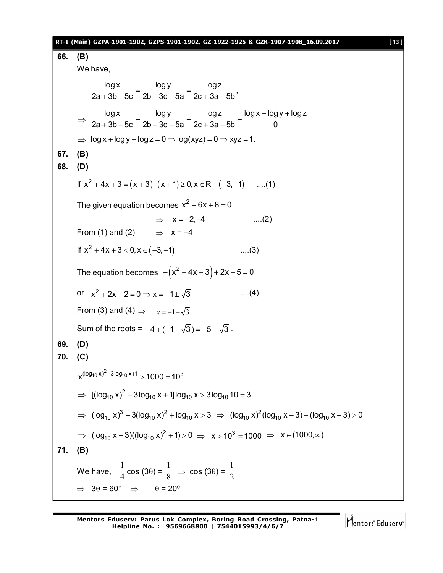| 66. | RT-I (Main) GZPA-1901-1902, GZPS-1901-1902, GZ-1922-1925 & GZK-1907-1908_16.09.2017                                            | [13] |  |  |  |
|-----|--------------------------------------------------------------------------------------------------------------------------------|------|--|--|--|
|     | (B)<br>We have,                                                                                                                |      |  |  |  |
|     |                                                                                                                                |      |  |  |  |
|     | $\frac{\log x}{2a+3b-5c} = \frac{\log y}{2b+3c-5a} = \frac{\log z}{2c+3a-5b},$                                                 |      |  |  |  |
|     | $\Rightarrow \frac{\log x}{2a+3b-5c} = \frac{\log y}{2b+3c-5a} = \frac{\log z}{2c+3a-5b} = \frac{\log x + \log y + \log z}{0}$ |      |  |  |  |
|     |                                                                                                                                |      |  |  |  |
|     | $\Rightarrow$ log x + log y + log z = 0 $\Rightarrow$ log(xyz) = 0 $\Rightarrow$ xyz = 1.                                      |      |  |  |  |
| 67. | (B)                                                                                                                            |      |  |  |  |
| 68. | (D)                                                                                                                            |      |  |  |  |
|     | If $x^2 + 4x + 3 = (x + 3)(x + 1) \ge 0, x \in R - (-3, -1)$ (1)                                                               |      |  |  |  |
|     | The given equation becomes $x^2 + 6x + 8 = 0$                                                                                  |      |  |  |  |
|     | $\dots(2)$<br>$\Rightarrow$ $x = -2, -4$                                                                                       |      |  |  |  |
|     | From (1) and (2) $\Rightarrow$ $x = -4$                                                                                        |      |  |  |  |
|     | If $x^2 + 4x + 3 < 0$ , $x \in (-3, -1)$<br>$\dots(3)$                                                                         |      |  |  |  |
|     | The equation becomes $-(x^2 + 4x + 3) + 2x + 5 = 0$                                                                            |      |  |  |  |
|     | or $x^2 + 2x - 2 = 0 \Rightarrow x = -1 \pm \sqrt{3}$<br>$\dots(4)$                                                            |      |  |  |  |
|     | From (3) and (4) $\Rightarrow x=-1-\sqrt{3}$                                                                                   |      |  |  |  |
|     | Sum of the roots = $-4 + (-1 - \sqrt{3}) = -5 - \sqrt{3}$ .                                                                    |      |  |  |  |
| 69. | (D)                                                                                                                            |      |  |  |  |
| 70. | (C)                                                                                                                            |      |  |  |  |
|     | $x^{(\log_{10} x)^2 - 3\log_{10} x + 1} > 1000 = 10^3$                                                                         |      |  |  |  |
|     | ⇒ $[(\log_{10} x)^2 - 3\log_{10} x + 1] \log_{10} x > 3\log_{10} 10 = 3$                                                       |      |  |  |  |
|     | ⇒ $(\log_{10} x)^3 - 3(\log_{10} x)^2 + \log_{10} x > 3$ ⇒ $(\log_{10} x)^2(\log_{10} x - 3) + (\log_{10} x - 3) > 0$          |      |  |  |  |
|     | ⇒ $(log_{10} x - 3)((log_{10} x)^2 + 1) > 0$ ⇒ $x > 10^3 = 1000$ ⇒ $x \in (1000, \infty)$                                      |      |  |  |  |
| 71. | (B)                                                                                                                            |      |  |  |  |
|     | We have, $\frac{1}{4}$ cos (3 $\theta$ ) = $\frac{1}{8}$ $\Rightarrow$ cos (3 $\theta$ ) = $\frac{1}{2}$                       |      |  |  |  |
|     | $\Rightarrow$ 30 = 60° $\Rightarrow$ 0 = 20°                                                                                   |      |  |  |  |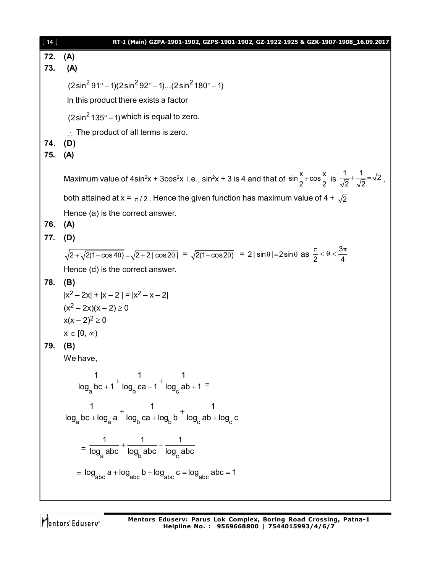| $[14]$ | RT-I (Main) GZPA-1901-1902, GZPS-1901-1902, GZ-1922-1925 & GZK-1907-1908_16.09.2017                                                                                                                     |
|--------|---------------------------------------------------------------------------------------------------------------------------------------------------------------------------------------------------------|
| 72.    | (A)                                                                                                                                                                                                     |
| 73.    | (A)                                                                                                                                                                                                     |
|        | $(2\sin^2 91^\circ - 1)(2\sin^2 92^\circ - 1)(2\sin^2 180^\circ - 1)$                                                                                                                                   |
|        | In this product there exists a factor                                                                                                                                                                   |
|        | $(2\sin^2 135^\circ - 1)$ which is equal to zero.                                                                                                                                                       |
|        | $\therefore$ The product of all terms is zero.                                                                                                                                                          |
| 74.    | (D)                                                                                                                                                                                                     |
| 75.    | (A)                                                                                                                                                                                                     |
|        | Maximum value of 4sin <sup>2</sup> x + 3cos <sup>2</sup> x i.e., sin <sup>2</sup> x + 3 is 4 and that of sin $\frac{x}{2}$ +cos $\frac{x}{2}$ is $\frac{1}{\sqrt{2}} + \frac{1}{\sqrt{2}} = \sqrt{2}$ , |
|        | both attained at x = $\pi/2$ . Hence the given function has maximum value of 4 + $\sqrt{2}$                                                                                                             |
|        | Hence (a) is the correct answer.                                                                                                                                                                        |
| 76.    | (A)                                                                                                                                                                                                     |
| 77.    | (D)                                                                                                                                                                                                     |
|        | $\sqrt{2+\sqrt{2(1+\cos 4\theta)}} = \sqrt{2+2 \cos 2\theta } = \sqrt{2(1-\cos 2\theta)} = 2 \sin \theta  = 2\sin \theta$ as $\frac{\pi}{2} < \theta < \frac{3\pi}{4}$                                  |
|        | Hence (d) is the correct answer.                                                                                                                                                                        |
| 78.    | (B)                                                                                                                                                                                                     |
|        | $ x^2-2x + x-2 = x^2-x-2 $                                                                                                                                                                              |
|        | $(x^2-2x)(x-2) \ge 0$                                                                                                                                                                                   |
|        | $x(x-2)^2 \ge 0$                                                                                                                                                                                        |
|        | $x \in [0, \infty)$                                                                                                                                                                                     |
| 79.    | (B)                                                                                                                                                                                                     |
|        | We have,                                                                                                                                                                                                |
|        | $\frac{1}{\log_a bc + 1} + \frac{1}{\log_b ca + 1} + \frac{1}{\log_a ab + 1} =$                                                                                                                         |
|        |                                                                                                                                                                                                         |
|        | $\frac{1}{\log_{a}bc + \log_{a}a} + \frac{1}{\log_{b}ca + \log_{b}b} + \frac{1}{\log_{a}ab + \log_{a}c}$                                                                                                |
|        |                                                                                                                                                                                                         |
|        | $=\frac{1}{\log_{\sim}abc}+\frac{1}{\log_{\sim}abc}+\frac{1}{\log_{\sim}abc}$                                                                                                                           |
|        | = $\log_{abc} a + \log_{abc} b + \log_{abc} c = \log_{abc} abc = 1$                                                                                                                                     |
|        |                                                                                                                                                                                                         |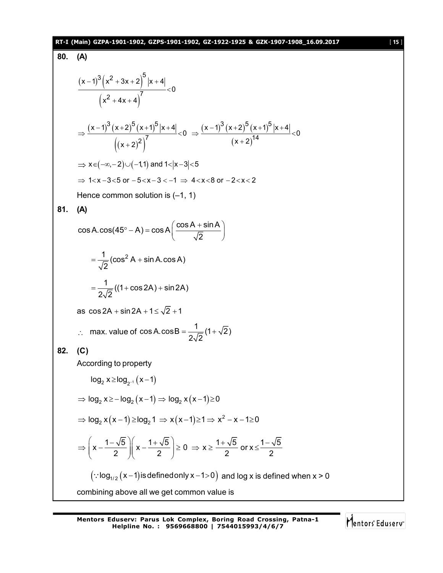#### **RT-I (Main) GZPA-1901-1902, GZPS-1901-1902, GZ-1922-1925 & GZK-1907-1908\_16.09.2017** [ **15** ]

#### **80. (A)**  $(x-1)^{3}(x^2+3x+2)$  $(X^- + 4X + 4)$  $3(y^2+3y+2)^5$  $2 + 4x + 4^7$  $(x-1)^3$   $(x^2 + 3x + 2)$   $|x + 4|$ 0  $x^2 + 4x + 4$  $(-1)^{3}(x^{2}+3x+2)$  |x + 4  $\lt$  $+4x+4$  $(x-1)^{3}(x+2)^{5}(x+1)$  $((x+2)^{2})$  $(x-1)^{3}(x+2)^{5}(x+1)^{4}$  $(x+2)$  $3(y, 2)^5 (x, 1)^5 |x, 1|$   $(x, 1)^3 (x, 2)^5 (x, 1)^5$  $(2)^7$   $(x+2)^{14}$  $\frac{(x-1)^3(x+2)^3(x+1)^3|x+4|}{x}$  < 0  $\Rightarrow$   $\frac{(x-1)^3(x+2)^3(x+1)^3|x+4|}{x}$  < 0  $(x+2)^2$   $(x+2)^2$  $\Rightarrow \frac{(x-1)^3(x+2)^3(x+1)^3(x+4)}{7} <0 \Rightarrow \frac{(x-1)^3(x+2)^3(x+1)^3(x+4)}{14} <0$  $(x + 2)^{2}$   $(x +$  $\Rightarrow$  x  $\in (-\infty, -2) \cup (-1,1)$  and 1 < |x -3| < 5  $\Rightarrow$  1 < x - 3 < 5 or - 5 < x - 3 < -1  $\Rightarrow$  4 < x < 8 or - 2 < x < 2 Hence common solution is  $(-1, 1)$ **81. (A)**  $\cos A \cdot \cos (45^\circ - A) = \cos A \left( \frac{\cos A + \sin A}{\sqrt{2}} \right)$ 2  $\degree$  - A) = cos A $\left(\frac{\cos A + \sin A}{\sqrt{2}}\right)$  $\frac{1}{\sqrt{2}}$  (cos<sup>2</sup> A + sin A.cos A) 2  $=\frac{1}{\sqrt{2}}(\cos^2 A + \sin A)$  $\frac{1}{\sqrt{2}}((1+\cos 2A)+\sin 2A)$  $2\sqrt{2}$  $=\frac{1}{\sqrt{2}}((1+\cos 2A)+8$ as  $\cos 2A + \sin 2A + 1 \le \sqrt{2} + 1$  $\therefore$  max. value of cos A.cos B =  $\frac{1}{2\sqrt{2}}(1+\sqrt{2})$  $2\sqrt{2}$  $=\frac{1}{\sqrt{2}}(1+x)$ **82. (C)** According to property  $log_2 x \ge log_{2^{-1}} (x-1)$  $\Rightarrow$  log<sub>2</sub> x  $\ge$  - log<sub>2</sub> (x - 1)  $\Rightarrow$  log<sub>2</sub> x (x - 1)  $\ge$  0  $\Rightarrow$   $\log_2 x (x-1) \ge \log_2 1 \Rightarrow x (x-1) \ge 1 \Rightarrow x^2 - x - 1 \ge 0$  $\left|\mathbf{x} - \frac{1-\sqrt{5}}{2}\right| \left|\mathbf{x} - \frac{1+\sqrt{5}}{2}\right| \ge 0 \Rightarrow \mathbf{x} \ge \frac{1+\sqrt{5}}{2}$  or  $\mathbf{x} \le \frac{1-\sqrt{5}}{2}$ 2 2 2 2 2  $\left(\begin{array}{cc} 1-\sqrt{5} \\ \end{array}\right)$   $\left(\begin{array}{cc} 1+\sqrt{5} \\ \end{array}\right)$   $\left(\begin{array}{cc} 0 & \frac{1}{2} \\ \end{array}\right)$   $\left(\begin{array}{cc} 1+\sqrt{5} \\ \end{array}\right)$   $\left(\begin{array}{cc} 1-\sqrt{5} \\ \end{array}\right)$ ⇒  $\vert x - \frac{\sqrt{6}}{2} \vert x - \frac{\sqrt{6}}{2} \vert \ge 0 \Rightarrow x \ge \frac{1}{2}$  or x ≤ -( 2 ) ( 2 )  $\left(\because \log_{1/2} (x-1)\right)$  is defined only  $x-1>0$  and log x is defined when  $x > 0$ combining above all we get common value is

**Mentors Eduserv: Parus Lok Complex, Boring Road Crossing, Patna-1**

**Helpline No. : 9569668800 | 7544015993/4/6/7**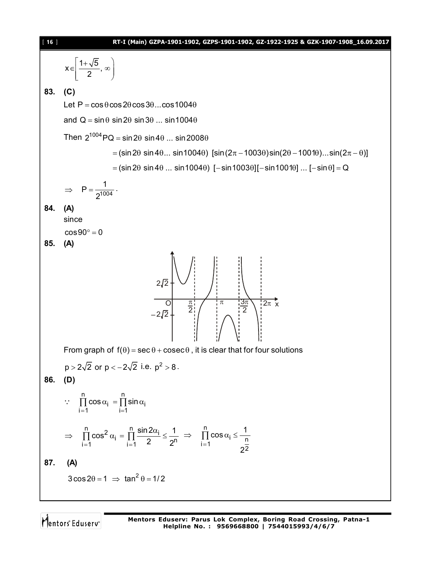